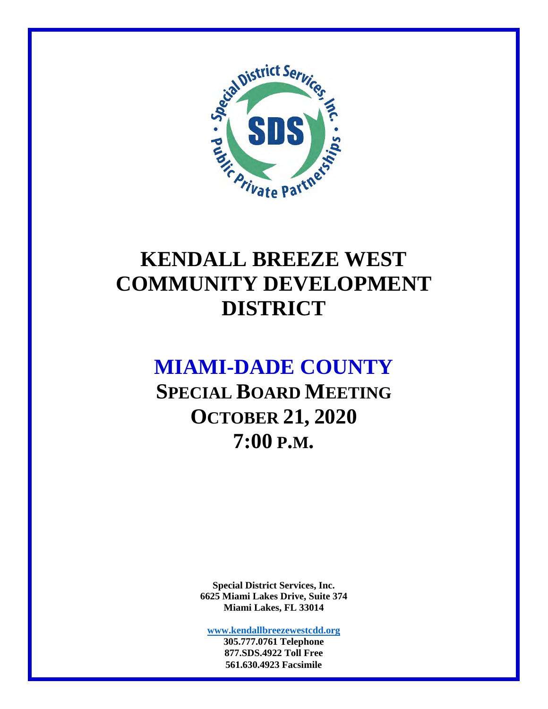

### **KENDALL BREEZE WEST COMMUNITY DEVELOPMENT DISTRICT**

### **MIAMI-DADE COUNTY**

**SPECIAL BOARD MEETING OCTOBER 21, 2020 7:00 P.M.** 

> **Special District Services, Inc. 6625 Miami Lakes Drive, Suite 374 Miami Lakes, FL 33014**

**www.kendallbreezewestcdd.org 305.777.0761 Telephone** 

**877.SDS.4922 Toll Free 561.630.4923 Facsimile**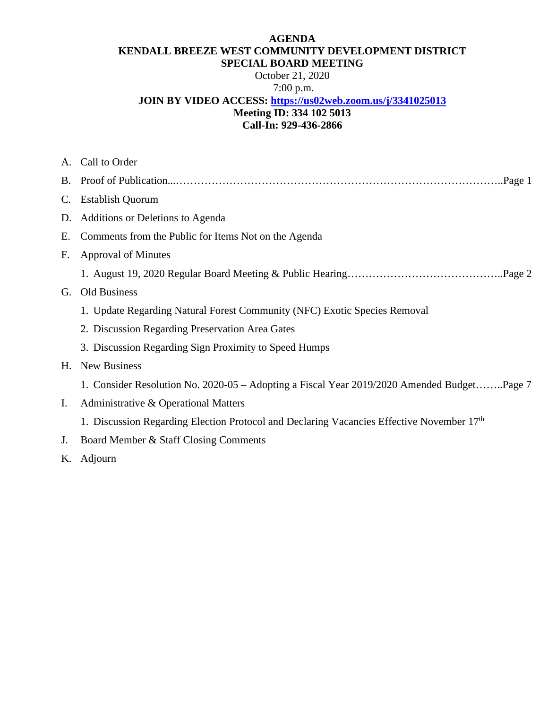#### **AGENDA KENDALL BREEZE WEST COMMUNITY DEVELOPMENT DISTRICT SPECIAL BOARD MEETING**

October 21, 2020

#### 7:00 p.m.

#### **JOIN BY VIDEO ACCESS: https://us02web.zoom.us/j/3341025013**

#### **Meeting ID: 334 102 5013**

### **Call-In: 929-436-2866**

|             | A. Call to Order                                                                           |
|-------------|--------------------------------------------------------------------------------------------|
|             |                                                                                            |
| $C_{\cdot}$ | <b>Establish Quorum</b>                                                                    |
| D.          | Additions or Deletions to Agenda                                                           |
| Е.          | Comments from the Public for Items Not on the Agenda                                       |
| F.          | <b>Approval of Minutes</b>                                                                 |
|             |                                                                                            |
| G.          | Old Business                                                                               |
|             | 1. Update Regarding Natural Forest Community (NFC) Exotic Species Removal                  |
|             | 2. Discussion Regarding Preservation Area Gates                                            |
|             | 3. Discussion Regarding Sign Proximity to Speed Humps                                      |
| H.          | <b>New Business</b>                                                                        |
|             | 1. Consider Resolution No. 2020-05 – Adopting a Fiscal Year 2019/2020 Amended BudgetPage 7 |
| Ι.          | Administrative & Operational Matters                                                       |
|             | 1. Discussion Regarding Election Protocol and Declaring Vacancies Effective November 17th  |
| J.          | Board Member & Staff Closing Comments                                                      |
|             | K. Adjourn                                                                                 |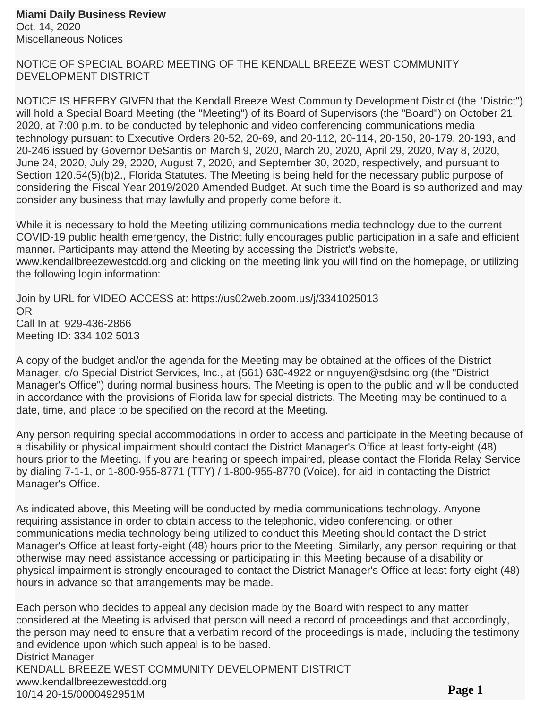NOTICE OF SPECIAL BOARD MEETING OF THE KENDALL BREEZE WEST COMMUNITY DEVELOPMENT DISTRICT

NOTICE IS HEREBY GIVEN that the Kendall Breeze West Community Development District (the "District") will hold a Special Board Meeting (the "Meeting") of its Board of Supervisors (the "Board") on October 21, 2020, at 7:00 p.m. to be conducted by telephonic and video conferencing communications media technology pursuant to Executive Orders 20-52, 20-69, and 20-112, 20-114, 20-150, 20-179, 20-193, and 20-246 issued by Governor DeSantis on March 9, 2020, March 20, 2020, April 29, 2020, May 8, 2020, June 24, 2020, July 29, 2020, August 7, 2020, and September 30, 2020, respectively, and pursuant to Section 120.54(5)(b)2., Florida Statutes. The Meeting is being held for the necessary public purpose of considering the Fiscal Year 2019/2020 Amended Budget. At such time the Board is so authorized and may consider any business that may lawfully and properly come before it.

While it is necessary to hold the Meeting utilizing communications media technology due to the current COVID-19 public health emergency, the District fully encourages public participation in a safe and efficient manner. Participants may attend the Meeting by accessing the District's website, www.kendallbreezewestcdd.org and clicking on the meeting link you will find on the homepage, or utilizing the following login information:

Join by URL for VIDEO ACCESS at: https://us02web.zoom.us/j/3341025013 OR Call In at: 929-436-2866 Meeting ID: 334 102 5013

A copy of the budget and/or the agenda for the Meeting may be obtained at the offices of the District Manager, c/o Special District Services, Inc., at (561) 630-4922 or nnguyen@sdsinc.org (the "District Manager's Office") during normal business hours. The Meeting is open to the public and will be conducted in accordance with the provisions of Florida law for special districts. The Meeting may be continued to a date, time, and place to be specified on the record at the Meeting.

Any person requiring special accommodations in order to access and participate in the Meeting because of a disability or physical impairment should contact the District Manager's Office at least forty-eight (48) hours prior to the Meeting. If you are hearing or speech impaired, please contact the Florida Relay Service by dialing 7-1-1, or 1-800-955-8771 (TTY) / 1-800-955-8770 (Voice), for aid in contacting the District Manager's Office.

As indicated above, this Meeting will be conducted by media communications technology. Anyone requiring assistance in order to obtain access to the telephonic, video conferencing, or other communications media technology being utilized to conduct this Meeting should contact the District Manager's Office at least forty-eight (48) hours prior to the Meeting. Similarly, any person requiring or that otherwise may need assistance accessing or participating in this Meeting because of a disability or physical impairment is strongly encouraged to contact the District Manager's Office at least forty-eight (48) hours in advance so that arrangements may be made.

Each person who decides to appeal any decision made by the Board with respect to any matter considered at the Meeting is advised that person will need a record of proceedings and that accordingly, the person may need to ensure that a verbatim record of the proceedings is made, including the testimony and evidence upon which such appeal is to be based. District Manager KENDALL BREEZE WEST COMMUNITY DEVELOPMENT DISTRICT www.kendallbreezewestcdd.org 10/14 20-15/0000492951M **Page 1**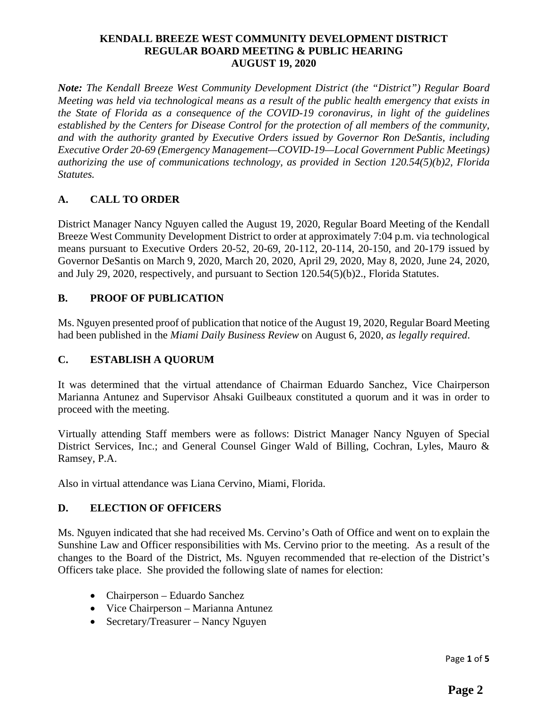#### **KENDALL BREEZE WEST COMMUNITY DEVELOPMENT DISTRICT REGULAR BOARD MEETING & PUBLIC HEARING AUGUST 19, 2020**

*Note: The Kendall Breeze West Community Development District (the "District") Regular Board Meeting was held via technological means as a result of the public health emergency that exists in the State of Florida as a consequence of the COVID-19 coronavirus, in light of the guidelines established by the Centers for Disease Control for the protection of all members of the community, and with the authority granted by Executive Orders issued by Governor Ron DeSantis, including Executive Order 20-69 (Emergency Management—COVID-19—Local Government Public Meetings) authorizing the use of communications technology, as provided in Section 120.54(5)(b)2, Florida Statutes.* 

#### **A. CALL TO ORDER**

District Manager Nancy Nguyen called the August 19, 2020, Regular Board Meeting of the Kendall Breeze West Community Development District to order at approximately 7:04 p.m. via technological means pursuant to Executive Orders 20-52, 20-69, 20-112, 20-114, 20-150, and 20-179 issued by Governor DeSantis on March 9, 2020, March 20, 2020, April 29, 2020, May 8, 2020, June 24, 2020, and July 29, 2020, respectively, and pursuant to Section 120.54(5)(b)2., Florida Statutes.

#### **B. PROOF OF PUBLICATION**

Ms. Nguyen presented proof of publication that notice of the August 19, 2020, Regular Board Meeting had been published in the *Miami Daily Business Review* on August 6, 2020, *as legally required*.

#### **C. ESTABLISH A QUORUM**

It was determined that the virtual attendance of Chairman Eduardo Sanchez, Vice Chairperson Marianna Antunez and Supervisor Ahsaki Guilbeaux constituted a quorum and it was in order to proceed with the meeting.

Virtually attending Staff members were as follows: District Manager Nancy Nguyen of Special District Services, Inc.; and General Counsel Ginger Wald of Billing, Cochran, Lyles, Mauro & Ramsey, P.A.

Also in virtual attendance was Liana Cervino, Miami, Florida.

#### **D. ELECTION OF OFFICERS**

Ms. Nguyen indicated that she had received Ms. Cervino's Oath of Office and went on to explain the Sunshine Law and Officer responsibilities with Ms. Cervino prior to the meeting. As a result of the changes to the Board of the District, Ms. Nguyen recommended that re-election of the District's Officers take place. She provided the following slate of names for election:

- Chairperson Eduardo Sanchez
- Vice Chairperson Marianna Antunez
- Secretary/Treasurer Nancy Nguyen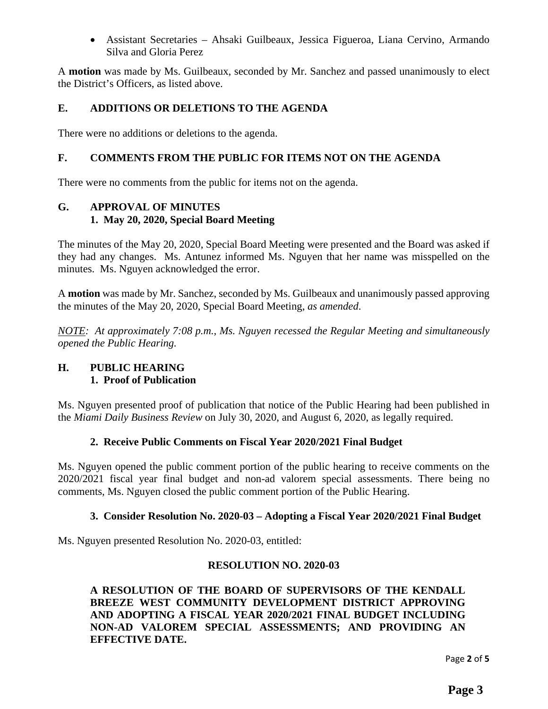Assistant Secretaries – Ahsaki Guilbeaux, Jessica Figueroa, Liana Cervino, Armando Silva and Gloria Perez

A **motion** was made by Ms. Guilbeaux, seconded by Mr. Sanchez and passed unanimously to elect the District's Officers, as listed above.

#### **E. ADDITIONS OR DELETIONS TO THE AGENDA**

There were no additions or deletions to the agenda.

#### **F. COMMENTS FROM THE PUBLIC FOR ITEMS NOT ON THE AGENDA**

There were no comments from the public for items not on the agenda.

#### **G. APPROVAL OF MINUTES 1. May 20, 2020, Special Board Meeting**

The minutes of the May 20, 2020, Special Board Meeting were presented and the Board was asked if they had any changes. Ms. Antunez informed Ms. Nguyen that her name was misspelled on the minutes. Ms. Nguyen acknowledged the error.

A **motion** was made by Mr. Sanchez, seconded by Ms. Guilbeaux and unanimously passed approving the minutes of the May 20, 2020, Special Board Meeting, *as amended*.

*NOTE: At approximately 7:08 p.m., Ms. Nguyen recessed the Regular Meeting and simultaneously opened the Public Hearing.* 

#### **H. PUBLIC HEARING 1. Proof of Publication**

Ms. Nguyen presented proof of publication that notice of the Public Hearing had been published in the *Miami Daily Business Review* on July 30, 2020, and August 6, 2020, as legally required.

#### **2. Receive Public Comments on Fiscal Year 2020/2021 Final Budget**

Ms. Nguyen opened the public comment portion of the public hearing to receive comments on the 2020/2021 fiscal year final budget and non-ad valorem special assessments. There being no comments, Ms. Nguyen closed the public comment portion of the Public Hearing.

#### **3. Consider Resolution No. 2020-03 – Adopting a Fiscal Year 2020/2021 Final Budget**

Ms. Nguyen presented Resolution No. 2020-03, entitled:

#### **RESOLUTION NO. 2020-03**

**A RESOLUTION OF THE BOARD OF SUPERVISORS OF THE KENDALL BREEZE WEST COMMUNITY DEVELOPMENT DISTRICT APPROVING AND ADOPTING A FISCAL YEAR 2020/2021 FINAL BUDGET INCLUDING NON-AD VALOREM SPECIAL ASSESSMENTS; AND PROVIDING AN EFFECTIVE DATE.** 

Page **2** of **5**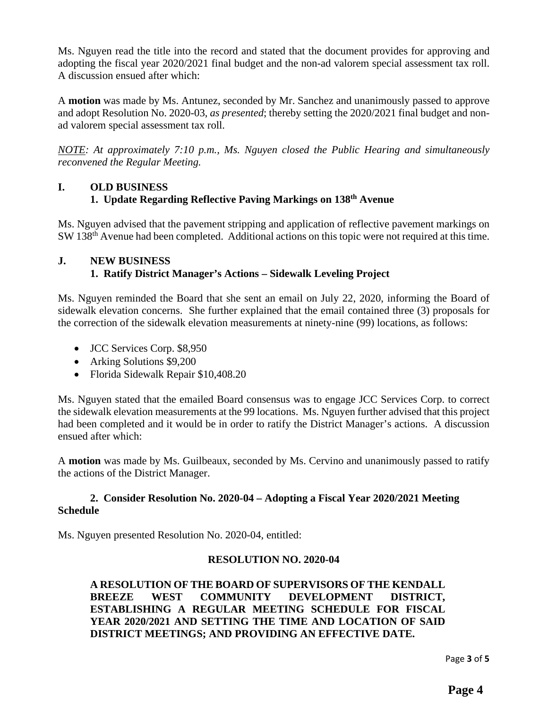Ms. Nguyen read the title into the record and stated that the document provides for approving and adopting the fiscal year 2020/2021 final budget and the non-ad valorem special assessment tax roll. A discussion ensued after which:

A **motion** was made by Ms. Antunez, seconded by Mr. Sanchez and unanimously passed to approve and adopt Resolution No. 2020-03, *as presented*; thereby setting the 2020/2021 final budget and nonad valorem special assessment tax roll.

*NOTE: At approximately 7:10 p.m., Ms. Nguyen closed the Public Hearing and simultaneously reconvened the Regular Meeting.* 

#### **I. OLD BUSINESS 1. Update Regarding Reflective Paving Markings on 138th Avenue**

Ms. Nguyen advised that the pavement stripping and application of reflective pavement markings on SW 138<sup>th</sup> Avenue had been completed. Additional actions on this topic were not required at this time.

#### **J. NEW BUSINESS 1. Ratify District Manager's Actions – Sidewalk Leveling Project**

Ms. Nguyen reminded the Board that she sent an email on July 22, 2020, informing the Board of sidewalk elevation concerns. She further explained that the email contained three (3) proposals for the correction of the sidewalk elevation measurements at ninety-nine (99) locations, as follows:

- JCC Services Corp. \$8,950
- Arking Solutions \$9,200
- Florida Sidewalk Repair \$10,408.20

Ms. Nguyen stated that the emailed Board consensus was to engage JCC Services Corp. to correct the sidewalk elevation measurements at the 99 locations. Ms. Nguyen further advised that this project had been completed and it would be in order to ratify the District Manager's actions. A discussion ensued after which:

A **motion** was made by Ms. Guilbeaux, seconded by Ms. Cervino and unanimously passed to ratify the actions of the District Manager.

#### **2. Consider Resolution No. 2020-04 – Adopting a Fiscal Year 2020/2021 Meeting Schedule**

Ms. Nguyen presented Resolution No. 2020-04, entitled:

#### **RESOLUTION NO. 2020-04**

**A RESOLUTION OF THE BOARD OF SUPERVISORS OF THE KENDALL BREEZE WEST COMMUNITY DEVELOPMENT DISTRICT, ESTABLISHING A REGULAR MEETING SCHEDULE FOR FISCAL YEAR 2020/2021 AND SETTING THE TIME AND LOCATION OF SAID DISTRICT MEETINGS; AND PROVIDING AN EFFECTIVE DATE.** 

Page **3** of **5**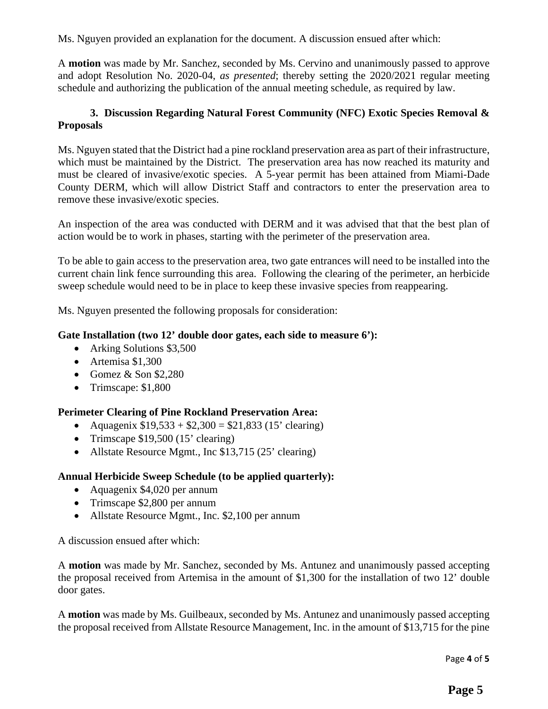Ms. Nguyen provided an explanation for the document. A discussion ensued after which:

A **motion** was made by Mr. Sanchez, seconded by Ms. Cervino and unanimously passed to approve and adopt Resolution No. 2020-04, *as presented*; thereby setting the 2020/2021 regular meeting schedule and authorizing the publication of the annual meeting schedule, as required by law.

#### **3. Discussion Regarding Natural Forest Community (NFC) Exotic Species Removal & Proposals**

Ms. Nguyen stated that the District had a pine rockland preservation area as part of their infrastructure, which must be maintained by the District. The preservation area has now reached its maturity and must be cleared of invasive/exotic species. A 5-year permit has been attained from Miami-Dade County DERM, which will allow District Staff and contractors to enter the preservation area to remove these invasive/exotic species.

An inspection of the area was conducted with DERM and it was advised that that the best plan of action would be to work in phases, starting with the perimeter of the preservation area.

To be able to gain access to the preservation area, two gate entrances will need to be installed into the current chain link fence surrounding this area. Following the clearing of the perimeter, an herbicide sweep schedule would need to be in place to keep these invasive species from reappearing.

Ms. Nguyen presented the following proposals for consideration:

#### **Gate Installation (two 12' double door gates, each side to measure 6'):**

- Arking Solutions \$3,500
- Artemisa \$1,300
- Gomez  $&$  Son \$2,280
- Trimscape:  $$1,800$

#### **Perimeter Clearing of Pine Rockland Preservation Area:**

- Aquagenix  $$19,533 + $2,300 = $21,833$  (15' clearing)
- Trimscape  $$19,500$  (15' clearing)
- Allstate Resource Mgmt., Inc \$13,715 (25' clearing)

#### **Annual Herbicide Sweep Schedule (to be applied quarterly):**

- Aquagenix \$4,020 per annum
- Trimscape \$2,800 per annum
- Allstate Resource Mgmt., Inc. \$2,100 per annum

A discussion ensued after which:

A **motion** was made by Mr. Sanchez, seconded by Ms. Antunez and unanimously passed accepting the proposal received from Artemisa in the amount of \$1,300 for the installation of two 12' double door gates.

A **motion** was made by Ms. Guilbeaux, seconded by Ms. Antunez and unanimously passed accepting the proposal received from Allstate Resource Management, Inc. in the amount of \$13,715 for the pine

Page **4** of **5**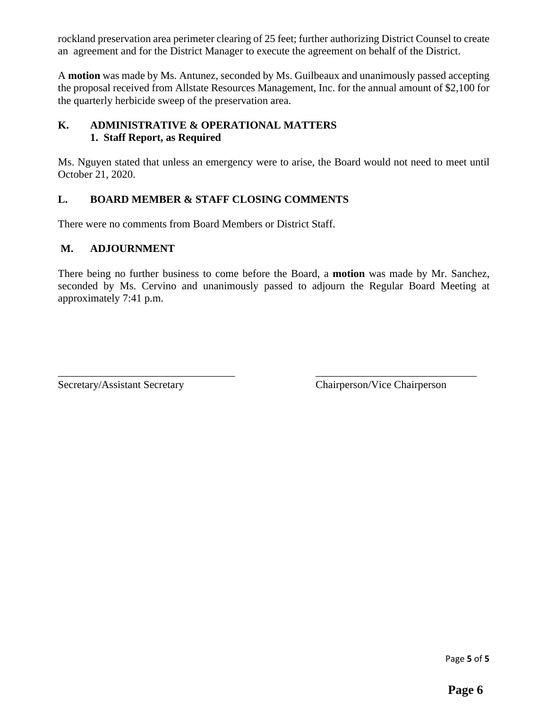rockland preservation area perimeter clearing of 25 feet; further authorizing District Counsel to create an agreement and for the District Manager to execute the agreement on behalf of the District.

A **motion** was made by Ms. Antunez, seconded by Ms. Guilbeaux and unanimously passed accepting the proposal received from Allstate Resources Management, Inc. for the annual amount of \$2,100 for the quarterly herbicide sweep of the preservation area.

#### **K. ADMINISTRATIVE & OPERATIONAL MATTERS 1. Staff Report, as Required**

Ms. Nguyen stated that unless an emergency were to arise, the Board would not need to meet until October 21, 2020.

#### **L. BOARD MEMBER & STAFF CLOSING COMMENTS**

There were no comments from Board Members or District Staff.

#### **M. ADJOURNMENT**

There being no further business to come before the Board, a **motion** was made by Mr. Sanchez, seconded by Ms. Cervino and unanimously passed to adjourn the Regular Board Meeting at approximately 7:41 p.m.

\_\_\_\_\_\_\_\_\_\_\_\_\_\_\_\_\_\_\_\_\_\_\_\_\_\_\_\_\_\_\_\_\_ \_\_\_\_\_\_\_\_\_\_\_\_\_\_\_\_\_\_\_\_\_\_\_\_\_\_\_\_\_\_

Secretary/Assistant Secretary Chairperson/Vice Chairperson

Page **5** of **5**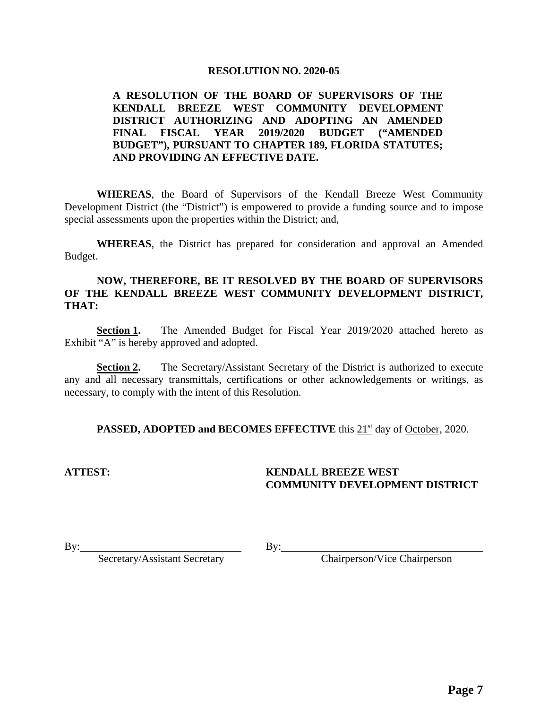#### **RESOLUTION NO. 2020-05**

#### **A RESOLUTION OF THE BOARD OF SUPERVISORS OF THE KENDALL BREEZE WEST COMMUNITY DEVELOPMENT DISTRICT AUTHORIZING AND ADOPTING AN AMENDED FINAL FISCAL YEAR 2019/2020 BUDGET ("AMENDED BUDGET"), PURSUANT TO CHAPTER 189, FLORIDA STATUTES; AND PROVIDING AN EFFECTIVE DATE.**

 **WHEREAS**, the Board of Supervisors of the Kendall Breeze West Community Development District (the "District") is empowered to provide a funding source and to impose special assessments upon the properties within the District; and,

**WHEREAS**, the District has prepared for consideration and approval an Amended Budget.

#### **NOW, THEREFORE, BE IT RESOLVED BY THE BOARD OF SUPERVISORS OF THE KENDALL BREEZE WEST COMMUNITY DEVELOPMENT DISTRICT, THAT:**

**Section 1.** The Amended Budget for Fiscal Year 2019/2020 attached hereto as Exhibit "A" is hereby approved and adopted.

**Section 2.** The Secretary/Assistant Secretary of the District is authorized to execute any and all necessary transmittals, certifications or other acknowledgements or writings, as necessary, to comply with the intent of this Resolution.

**PASSED, ADOPTED and BECOMES EFFECTIVE** this 21<sup>st</sup> day of October, 2020.

#### **ATTEST: KENDALL BREEZE WEST COMMUNITY DEVELOPMENT DISTRICT**

 $\mathbf{By:}$   $\qquad \qquad \mathbf{By:}$ 

Secretary/Assistant Secretary By: Chairperson/Vice Chairperson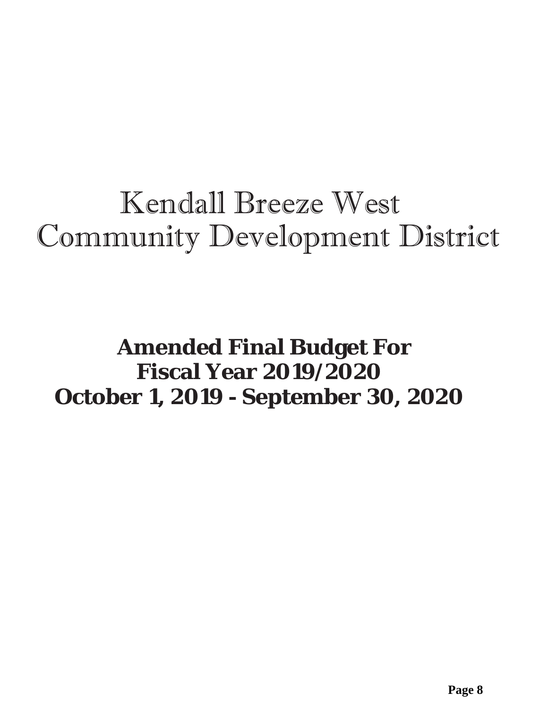# Kendall Breeze West Community Development District

## **Amended Final Budget For Fiscal Year 2019/2020 October 1, 2019 - September 30, 2020**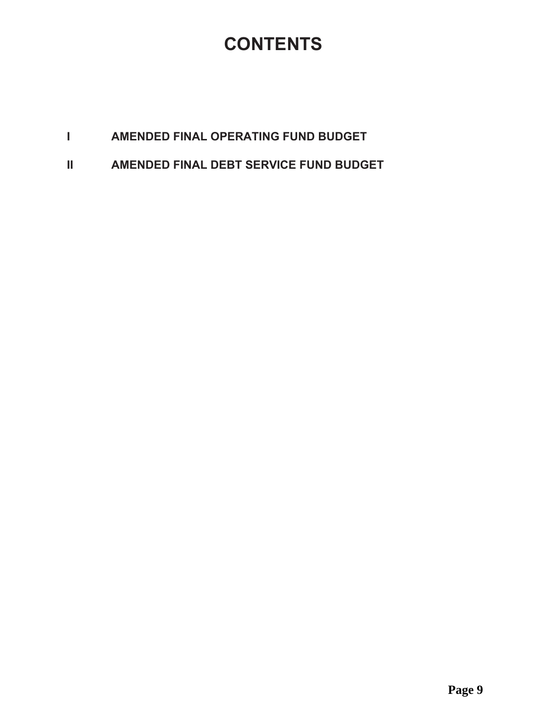### **CONTENTS**

#### $\mathbf{I}$  and  $\mathbf{I}$ AMENDED FINAL OPERATING FUND BUDGET

 $\mathbf{H}$ AMENDED FINAL DEBT SERVICE FUND BUDGET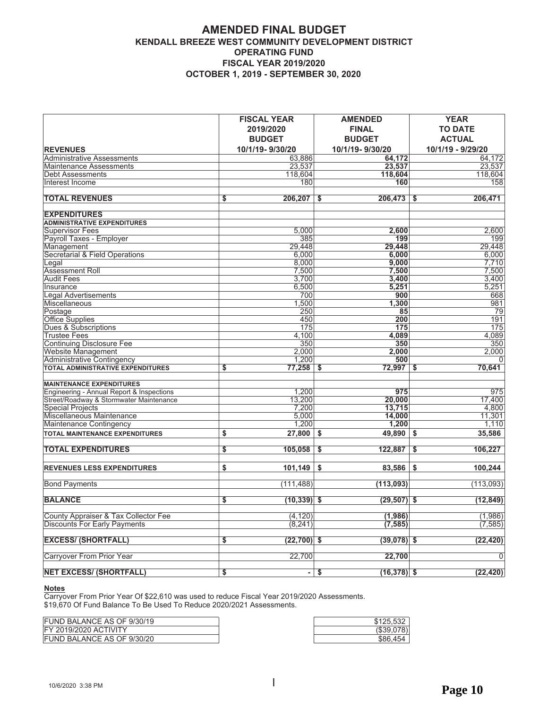#### **AMENDED FINAL BUDGET** KENDALL BREEZE WEST COMMUNITY DEVELOPMENT DISTRICT **OPERATING FUND FISCAL YEAR 2019/2020 OCTOBER 1, 2019 - SEPTEMBER 30, 2020**

| <b>REVENUES</b>                           | <b>FISCAL YEAR</b><br>2019/2020<br><b>BUDGET</b><br>10/1/19-9/30/20 | <b>AMENDED</b><br><b>FINAL</b><br><b>BUDGET</b><br>10/1/19-9/30/20 | <b>YEAR</b><br><b>TO DATE</b><br><b>ACTUAL</b><br>10/1/19 - 9/29/20 |
|-------------------------------------------|---------------------------------------------------------------------|--------------------------------------------------------------------|---------------------------------------------------------------------|
| <b>Administrative Assessments</b>         | 63,886                                                              | 64.172                                                             | 64.172                                                              |
| <b>Maintenance Assessments</b>            | 23,537                                                              | 23,537                                                             | 23,537                                                              |
| <b>Debt Assessments</b>                   | 118,604                                                             | 118,604                                                            | 118,604                                                             |
| Interest Income                           | 180                                                                 | 160                                                                | 158                                                                 |
|                                           |                                                                     |                                                                    |                                                                     |
| <b>TOTAL REVENUES</b>                     | 206,207<br>\$                                                       | $206,473$ \$<br>\$                                                 | 206,471                                                             |
| <b>EXPENDITURES</b>                       |                                                                     |                                                                    |                                                                     |
| <b>ADMINISTRATIVE EXPENDITURES</b>        |                                                                     |                                                                    |                                                                     |
| <b>Supervisor Fees</b>                    | 5,000                                                               | 2,600                                                              | 2,600                                                               |
| Payroll Taxes - Employer                  | 385                                                                 | 199                                                                | 199                                                                 |
| Management                                | 29,448                                                              | 29,448                                                             | 29,448                                                              |
| Secretarial & Field Operations            | 6,000                                                               | 6.000                                                              | 6,000                                                               |
| Legal                                     | 8,000                                                               | 9,000                                                              | 7,710                                                               |
| <b>Assessment Roll</b>                    | 7,500                                                               | 7,500                                                              | 7,500                                                               |
| <b>Audit Fees</b>                         | 3,700                                                               | 3,400                                                              | 3,400                                                               |
| Insurance                                 | 6,500                                                               | 5,251                                                              | 5,251                                                               |
| Legal Advertisements                      | 700                                                                 | 900                                                                | 668                                                                 |
| Miscellaneous                             | 1,500                                                               | 1,300                                                              | 981                                                                 |
| Postage                                   | 250                                                                 | 85                                                                 | 79                                                                  |
| Office Supplies                           | 450                                                                 | 200                                                                | 191                                                                 |
| Dues & Subscriptions                      | 175                                                                 | 175                                                                | 175                                                                 |
| <b>Trustee Fees</b>                       | 4,100                                                               | 4,089                                                              | 4,089                                                               |
| <b>Continuing Disclosure Fee</b>          | 350                                                                 | 350                                                                | 350                                                                 |
| Website Management                        | 2.000                                                               | 2,000                                                              | 2,000                                                               |
| <b>Administrative Contingency</b>         | 1,200                                                               | 500                                                                | 0                                                                   |
| TOTAL ADMINISTRATIVE EXPENDITURES         | 77,258<br>\$                                                        | \$<br>72,997                                                       | 70,641<br>\$                                                        |
| <b>MAINTENANCE EXPENDITURES</b>           |                                                                     |                                                                    |                                                                     |
| Engineering - Annual Report & Inspections | 1,200                                                               | 975                                                                | 975                                                                 |
| Street/Roadway & Stormwater Maintenance   | 13,200                                                              | 20,000                                                             | 17.400                                                              |
| <b>Special Projects</b>                   | 7,200                                                               | 13,715                                                             | 4,800                                                               |
| Miscellaneous Maintenance                 | 5,000                                                               | 14,000                                                             | 11,301                                                              |
| Maintenance Contingency                   | 1,200                                                               | 1,200                                                              | 1,110                                                               |
| <b>TOTAL MAINTENANCE EXPENDITURES</b>     | \$<br>27,800                                                        | \$<br>49,890                                                       | 35,586<br>\$                                                        |
|                                           |                                                                     |                                                                    |                                                                     |
| <b>TOTAL EXPENDITURES</b>                 | \$<br>105,058                                                       | \$<br>122,887                                                      | \$<br>106,227                                                       |
| <b>REVENUES LESS EXPENDITURES</b>         | \$<br>101,149                                                       | 83,586<br>\$                                                       | \$<br>100,244                                                       |
| <b>Bond Payments</b>                      | (111, 488)                                                          | (113,093)                                                          | (113,093)                                                           |
| <b>BALANCE</b>                            | s<br>$(10, 339)$ \$                                                 | $(29, 507)$ \$                                                     | (12, 849)                                                           |
| County Appraiser & Tax Collector Fee      | (4, 120)                                                            | (1, 986)                                                           | (1,986)                                                             |
| <b>Discounts For Early Payments</b>       | (8, 241)                                                            | (7, 585)                                                           | (7, 585)                                                            |
|                                           |                                                                     |                                                                    |                                                                     |
| <b>EXCESS/ (SHORTFALL)</b>                | \$<br>$(22,700)$ \$                                                 | $(39, 078)$ \$                                                     | (22, 420)                                                           |
| Carryover From Prior Year                 | 22,700                                                              | 22,700                                                             | $\Omega$                                                            |
| <b>NET EXCESS/ (SHORTFALL)</b>            | $\overline{\mathbf{s}}$                                             | - \$<br>$(16, 378)$ \$                                             | (22, 420)                                                           |

**Notes**<br>Carryover From Prior Year Of \$22,610 was used to reduce Fiscal Year 2019/2020 Assessments.<br>\$19,670 Of Fund Balance To Be Used To Reduce 2020/2021 Assessments.

| FUND BALANCE AS OF 9/30/19   |
|------------------------------|
| <b>FY 2019/2020 ACTIVITY</b> |
| FUND BALANCE AS OF 9/30/20   |

| \$125,532  |
|------------|
| (\$39,078) |
| \$86.454   |
|            |